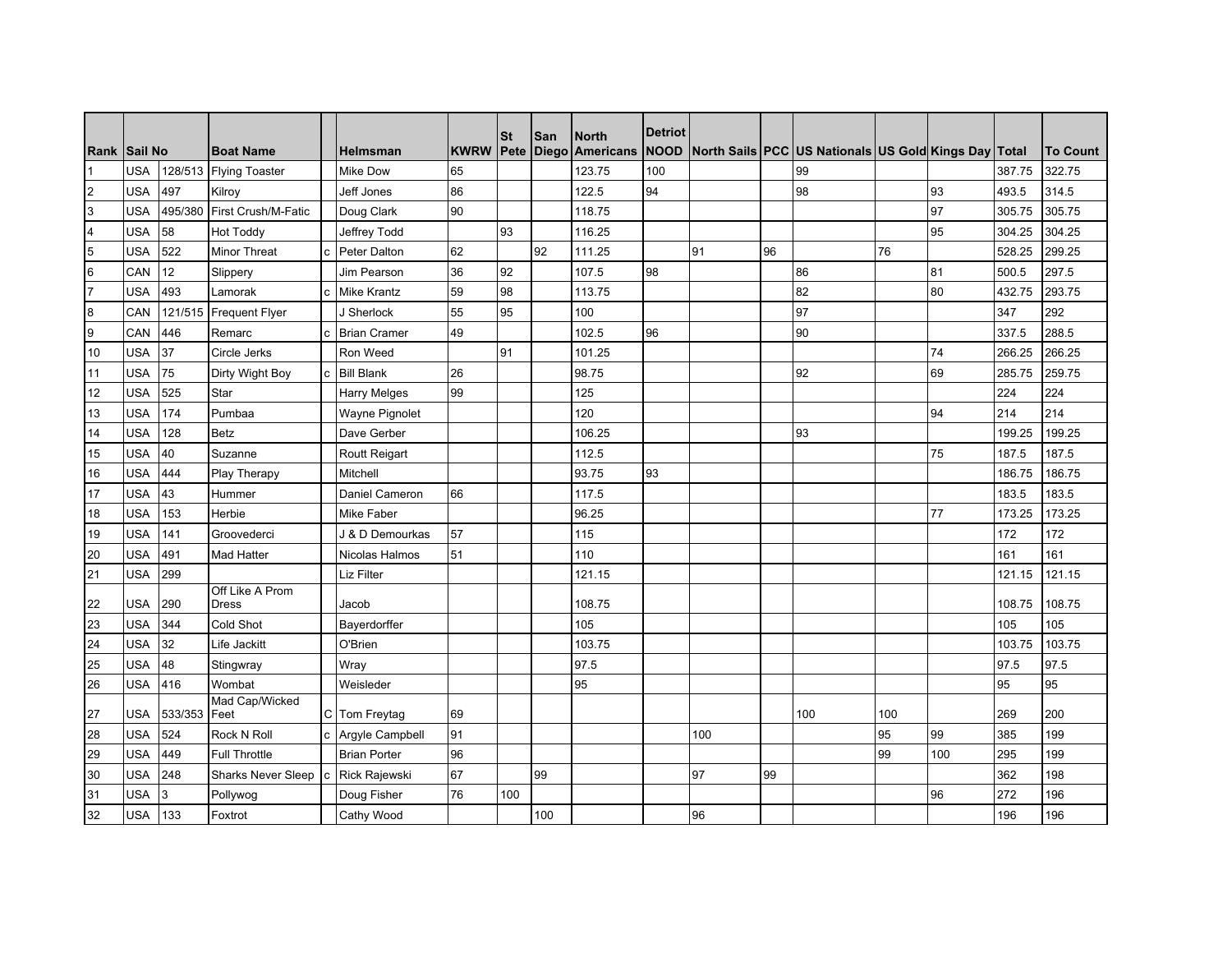|                 |              |                |                                 |    |                       |             | <b>St</b> | San | <b>North</b>              | <b>Detriot</b> |     |    |                                                              |     |     |        |                 |
|-----------------|--------------|----------------|---------------------------------|----|-----------------------|-------------|-----------|-----|---------------------------|----------------|-----|----|--------------------------------------------------------------|-----|-----|--------|-----------------|
|                 | Rank Sail No |                | <b>Boat Name</b>                |    | <b>Helmsman</b>       | <b>KWRW</b> |           |     | Pete Diego Americans NOOD |                |     |    | North Sails   PCC   US Nationals   US Gold Kings Day   Total |     |     |        | <b>To Count</b> |
|                 | USA          |                | 128/513 Flying Toaster          |    | <b>Mike Dow</b>       | 65          |           |     | 123.75                    | 100            |     |    | 99                                                           |     |     | 387.75 | 322.75          |
| $\overline{2}$  | <b>USA</b>   | 497            | Kilrov                          |    | Jeff Jones            | 86          |           |     | 122.5                     | 94             |     |    | 98                                                           |     | 93  | 493.5  | 314.5           |
| 3               | USA          |                | 495/380 First Crush/M-Fatic     |    | Doug Clark            | 90          |           |     | 118.75                    |                |     |    |                                                              |     | 97  | 305.75 | 305.75          |
| $\overline{4}$  | <b>USA</b>   | 58             | <b>Hot Toddy</b>                |    | Jeffrey Todd          |             | 93        |     | 116.25                    |                |     |    |                                                              |     | 95  | 304.25 | 304.25          |
| 5               | USA          | 522            | Minor Threat                    | C. | Peter Dalton          | 62          |           | 92  | 111.25                    |                | 91  | 96 |                                                              | 76  |     | 528.25 | 299.25          |
| $6\overline{6}$ | CAN          | 12             | Slippery                        |    | Jim Pearson           | 36          | 92        |     | 107.5                     | 98             |     |    | 86                                                           |     | 81  | 500.5  | 297.5           |
| $\overline{7}$  | USA          | 493            | Lamorak                         | c  | <b>Mike Krantz</b>    | 59          | 98        |     | 113.75                    |                |     |    | 82                                                           |     | 80  | 432.75 | 293.75          |
| $\overline{8}$  | CAN          |                | 121/515 Frequent Flyer          |    | J Sherlock            | 55          | 95        |     | 100                       |                |     |    | l97                                                          |     |     | 347    | 292             |
| 9               | CAN          | 446            | Remarc                          |    | <b>Brian Cramer</b>   | 49          |           |     | 102.5                     | 96             |     |    | 90                                                           |     |     | 337.5  | 288.5           |
| 10              | USA          | 37             | Circle Jerks                    |    | Ron Weed              |             | 91        |     | 101.25                    |                |     |    |                                                              |     | 74  | 266.25 | 266.25          |
| 11              | <b>USA</b>   | 75             | Dirty Wight Boy                 | C. | <b>Bill Blank</b>     | 26          |           |     | 98.75                     |                |     |    | 92                                                           |     | 69  | 285.75 | 259.75          |
| 12              | USA          | 525            | Star                            |    | <b>Harry Melges</b>   | 99          |           |     | 125                       |                |     |    |                                                              |     |     | 224    | 224             |
| 13              | USA          | 174            | Pumbaa                          |    | <b>Wayne Pignolet</b> |             |           |     | 120                       |                |     |    |                                                              |     | 94  | 214    | 214             |
| 14              | USA          | 128            | <b>Betz</b>                     |    | Dave Gerber           |             |           |     | 106.25                    |                |     |    | 93                                                           |     |     | 199.25 | 199.25          |
| 15              | USA          | 40             | Suzanne                         |    | Routt Reigart         |             |           |     | 112.5                     |                |     |    |                                                              |     | 75  | 187.5  | 187.5           |
| 16              | <b>USA</b>   | 444            | Play Therapy                    |    | Mitchell              |             |           |     | 93.75                     | 93             |     |    |                                                              |     |     | 186.75 | 186.75          |
| 17              | <b>USA</b>   | 43             | Hummer                          |    | Daniel Cameron        | 66          |           |     | 117.5                     |                |     |    |                                                              |     |     | 183.5  | 183.5           |
| 18              | USA          | 153            | Herbie                          |    | Mike Faber            |             |           |     | 96.25                     |                |     |    |                                                              |     | 77  | 173.25 | 173.25          |
| 19              | USA          | 141            | Groovederci                     |    | J & D Demourkas       | 57          |           |     | 115                       |                |     |    |                                                              |     |     | 172    | 172             |
| 20              | USA          | 491            | Mad Hatter                      |    | Nicolas Halmos        | 51          |           |     | 110                       |                |     |    |                                                              |     |     | 161    | 161             |
| 21              | <b>USA</b>   | 299            |                                 |    | <b>Liz Filter</b>     |             |           |     | 121.15                    |                |     |    |                                                              |     |     | 121.15 | 121.15          |
| 22              | USA          | 290            | Off Like A Prom<br><b>Dress</b> |    | Jacob                 |             |           |     | 108.75                    |                |     |    |                                                              |     |     | 108.75 | 108.75          |
| 23              | <b>USA</b>   | 344            | Cold Shot                       |    | Bayerdorffer          |             |           |     | 105                       |                |     |    |                                                              |     |     | 105    | 105             |
| 24              | <b>USA</b>   | 32             | Life Jackitt                    |    | O'Brien               |             |           |     | 103.75                    |                |     |    |                                                              |     |     | 103.75 | 103.75          |
| 25              | USA          | 48             | Stingwray                       |    | Wray                  |             |           |     | 97.5                      |                |     |    |                                                              |     |     | 97.5   | 97.5            |
| 26              | <b>USA</b>   | 416            | Wombat                          |    | Weisleder             |             |           |     | 95                        |                |     |    |                                                              |     |     | 95     | 95              |
|                 |              |                | Mad Cap/Wicked                  |    |                       |             |           |     |                           |                |     |    |                                                              |     |     |        |                 |
| 27              | USA          | 533/353   Feet |                                 |    | C Tom Freytag         | 69          |           |     |                           |                |     |    | 100                                                          | 100 |     | 269    | 200             |
| 28              | <b>USA</b>   | 524            | Rock N Roll                     |    | Argyle Campbell       | 91          |           |     |                           |                | 100 |    |                                                              | 95  | 99  | 385    | 199             |
| 29              | <b>USA</b>   | 449            | <b>Full Throttle</b>            |    | <b>Brian Porter</b>   | 96          |           |     |                           |                |     |    |                                                              | 99  | 100 | 295    | 199             |
| 30              | USA          | 248            | Sharks Never Sleep  c           |    | Rick Rajewski         | 67          |           | 99  |                           |                | 97  | 99 |                                                              |     |     | 362    | 198             |
| 31              | <b>USA</b>   | lз             | Pollywog                        |    | Doug Fisher           | 76          | 100       |     |                           |                |     |    |                                                              |     | 96  | 272    | 196             |
| 32              | <b>USA</b>   | 133            | Foxtrot                         |    | Cathy Wood            |             |           | 100 |                           |                | 96  |    |                                                              |     |     | 196    | 196             |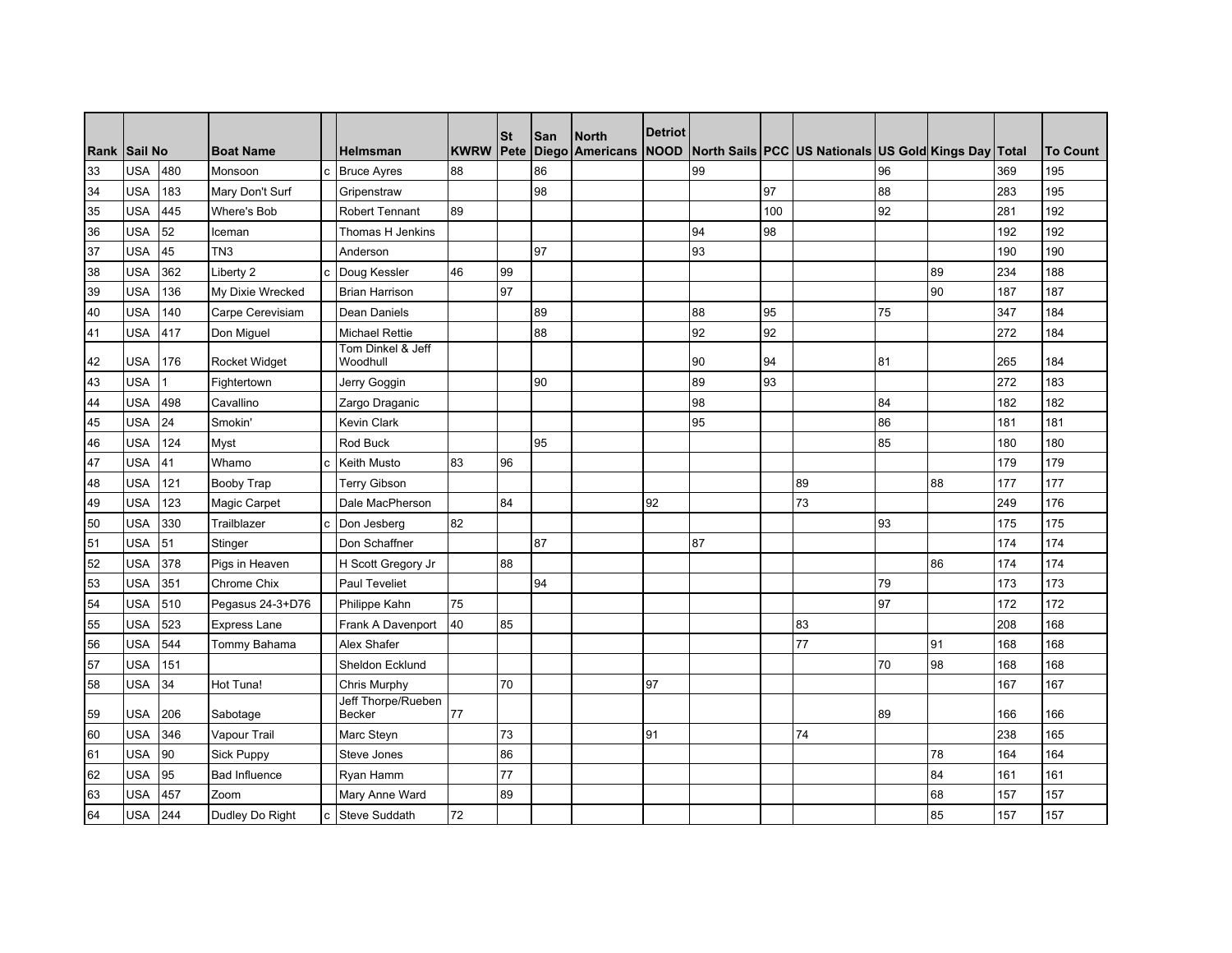| Rank | Sail No    |      | <b>Boat Name</b>     |   | Helmsman                      | <b>KWRW</b> | <b>St</b><br>Pete | San | North<br>Diego Americans NOOD | <b>Detriot</b> |    |     | North Sails   PCC   US Nationals   US Gold Kings Day   Total |     |    |     | <b>To Count</b> |
|------|------------|------|----------------------|---|-------------------------------|-------------|-------------------|-----|-------------------------------|----------------|----|-----|--------------------------------------------------------------|-----|----|-----|-----------------|
| 33   | USA        | 480  | Monsoon              | C | <b>Bruce Ayres</b>            | 88          |                   | 86  |                               |                | 99 |     |                                                              | 96  |    | 369 | 195             |
| 34   | <b>USA</b> | 183  | Mary Don't Surf      |   | Gripenstraw                   |             |                   | 98  |                               |                |    | 97  |                                                              | 88  |    | 283 | 195             |
| 35   | <b>USA</b> | 445  | Where's Bob          |   | <b>Robert Tennant</b>         | 89          |                   |     |                               |                |    | 100 |                                                              | 92  |    | 281 | 192             |
| 36   | <b>USA</b> | 52   | Iceman               |   | Thomas H Jenkins              |             |                   |     |                               |                | 94 | 98  |                                                              |     |    | 192 | 192             |
| 37   | <b>USA</b> | 45   | TN <sub>3</sub>      |   | Anderson                      |             |                   | 97  |                               |                | 93 |     |                                                              |     |    | 190 | 190             |
| 38   | <b>USA</b> | 362  | Liberty 2            |   | Doug Kessler                  | 46          | 99                |     |                               |                |    |     |                                                              |     | 89 | 234 | 188             |
| 39   | <b>USA</b> | 136  | My Dixie Wrecked     |   | <b>Brian Harrison</b>         |             | 97                |     |                               |                |    |     |                                                              |     | 90 | 187 | 187             |
| 40   | <b>USA</b> | 140  | Carpe Cerevisiam     |   | Dean Daniels                  |             |                   | 89  |                               |                | 88 | 95  |                                                              | 75  |    | 347 | 184             |
| 41   | USA        | 417  | Don Miguel           |   | <b>Michael Rettie</b>         |             |                   | 88  |                               |                | 92 | 92  |                                                              |     |    | 272 | 184             |
| 42   | USA        | 176  | Rocket Widget        |   | Tom Dinkel & Jeff<br>Woodhull |             |                   |     |                               |                | 90 | 94  |                                                              | 81  |    | 265 | 184             |
| 43   | <b>USA</b> |      | Fightertown          |   | Jerry Goggin                  |             |                   | 90  |                               |                | 89 | 93  |                                                              |     |    | 272 | 183             |
| 44   | <b>USA</b> | 498  | Cavallino            |   | Zargo Draganic                |             |                   |     |                               |                | 98 |     |                                                              | 84  |    | 182 | 182             |
| 45   | <b>USA</b> | 24   | Smokin'              |   | Kevin Clark                   |             |                   |     |                               |                | 95 |     |                                                              | 86  |    | 181 | 181             |
| 46   | USA        | 124  | Myst                 |   | <b>Rod Buck</b>               |             |                   | 95  |                               |                |    |     |                                                              | 85  |    | 180 | 180             |
| 47   | <b>USA</b> | 41   | Whamo                | c | Keith Musto                   | 83          | 96                |     |                               |                |    |     |                                                              |     |    | 179 | 179             |
| 48   | USA        | 121  | Booby Trap           |   | <b>Terry Gibson</b>           |             |                   |     |                               |                |    |     | 89                                                           |     | 88 | 177 | 177             |
| 49   | <b>USA</b> | 123  | Magic Carpet         |   | Dale MacPherson               |             | 84                |     |                               | 92             |    |     | 73                                                           |     |    | 249 | 176             |
| 50   | USA        | 330  | Trailblazer          |   | Don Jesberg                   | 82          |                   |     |                               |                |    |     |                                                              | 93  |    | 175 | 175             |
| 51   | <b>USA</b> | 51   | Stinger              |   | Don Schaffner                 |             |                   | 87  |                               |                | 87 |     |                                                              |     |    | 174 | 174             |
| 52   | <b>USA</b> | 378  | Pigs in Heaven       |   | H Scott Gregory Jr            |             | 88                |     |                               |                |    |     |                                                              |     | 86 | 174 | 174             |
| 53   | <b>USA</b> | 351  | Chrome Chix          |   | <b>Paul Teveliet</b>          |             |                   | 94  |                               |                |    |     |                                                              | 79  |    | 173 | 173             |
| 54   | USA        | 510  | Pegasus 24-3+D76     |   | Philippe Kahn                 | 75          |                   |     |                               |                |    |     |                                                              | 97  |    | 172 | 172             |
| 55   | USA        | 523  | <b>Express Lane</b>  |   | Frank A Davenport             | 40          | 85                |     |                               |                |    |     | 83                                                           |     |    | 208 | 168             |
| 56   | <b>USA</b> | 544  | Tommy Bahama         |   | Alex Shafer                   |             |                   |     |                               |                |    |     | 77                                                           |     | 91 | 168 | 168             |
| 57   | USA        | 151  |                      |   | Sheldon Ecklund               |             |                   |     |                               |                |    |     |                                                              | 170 | 98 | 168 | 168             |
| 58   | <b>USA</b> | 34   | Hot Tuna!            |   | Chris Murphy                  |             | 70                |     |                               | 97             |    |     |                                                              |     |    | 167 | 167             |
| 59   | <b>USA</b> | 206  | Sabotage             |   | Jeff Thorpe/Rueben<br>Becker  | 77          |                   |     |                               |                |    |     |                                                              | 89  |    | 166 | 166             |
| 60   | <b>USA</b> | 346  | Vapour Trail         |   | Marc Steyn                    |             | 73                |     |                               | 91             |    |     | 74                                                           |     |    | 238 | 165             |
| 61   | <b>USA</b> | 90   | Sick Puppy           |   | Steve Jones                   |             | l86               |     |                               |                |    |     |                                                              |     | 78 | 164 | 164             |
| 62   | <b>USA</b> | 95   | <b>Bad Influence</b> |   | Ryan Hamm                     |             | 77                |     |                               |                |    |     |                                                              |     | 84 | 161 | 161             |
| 63   | USA        | 457  | Zoom                 |   | Mary Anne Ward                |             | 89                |     |                               |                |    |     |                                                              |     | 68 | 157 | 157             |
| 64   | <b>USA</b> | l244 | Dudley Do Right      |   | c Steve Suddath               | 72          |                   |     |                               |                |    |     |                                                              |     | 85 | 157 | 157             |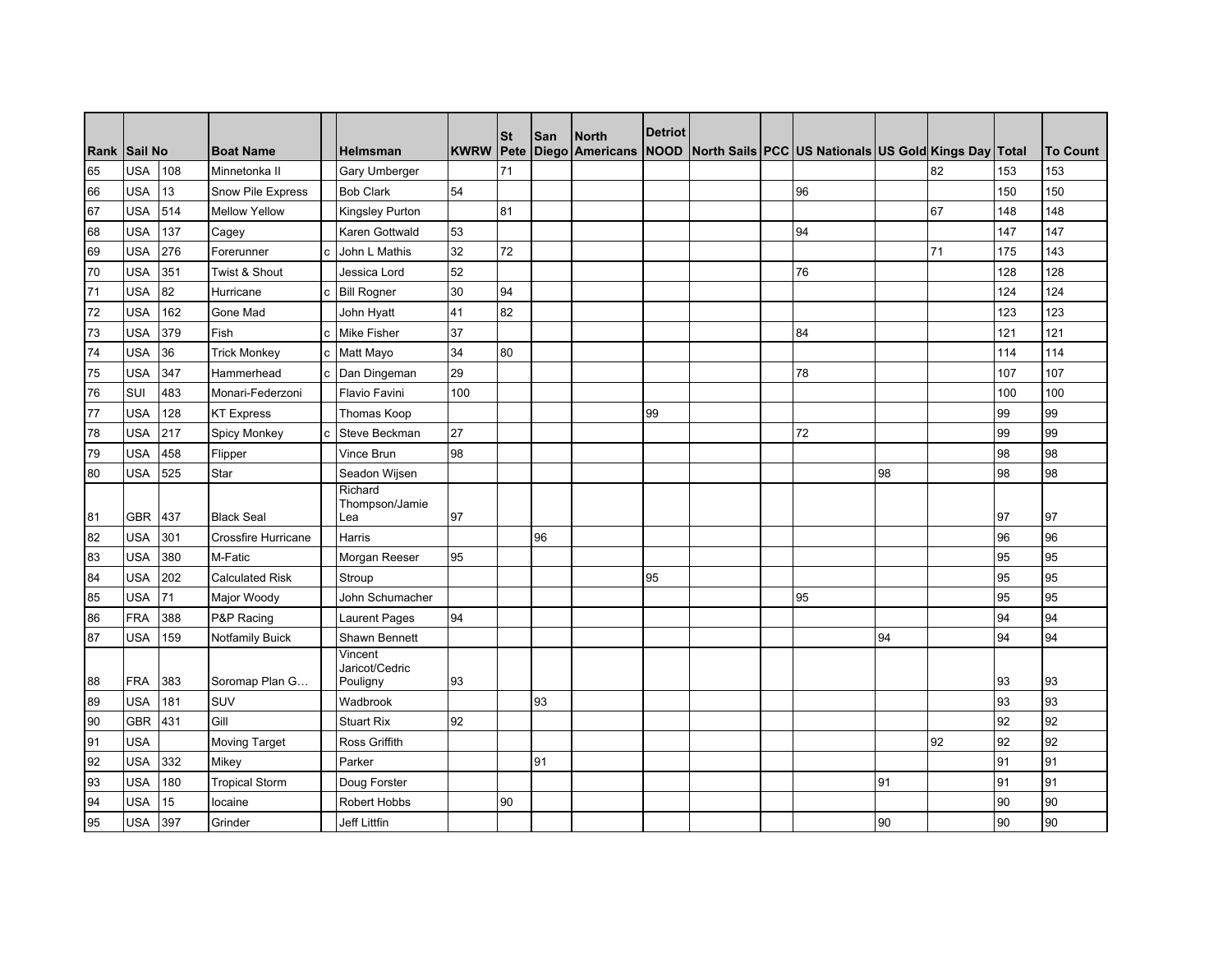| Rank Sail No |            |     | <b>Boat Name</b>           |     | <b>Helmsman</b>                       | <b>KWRW</b> | <b>St</b><br>Pete | San | North<br>Diego Americans NOOD | <b>Detriot</b> |  | North Sails PCC US Nationals US Gold Kings Day Total |    |    |     | ∣To Count |
|--------------|------------|-----|----------------------------|-----|---------------------------------------|-------------|-------------------|-----|-------------------------------|----------------|--|------------------------------------------------------|----|----|-----|-----------|
| 65           | USA        | 108 | Minnetonka II              |     | Gary Umberger                         |             | 71                |     |                               |                |  |                                                      |    | 82 | 153 | 153       |
| 66           | <b>USA</b> | 13  | Snow Pile Express          |     | <b>Bob Clark</b>                      | 54          |                   |     |                               |                |  | 96                                                   |    |    | 150 | 150       |
| 67           | <b>USA</b> | 514 | <b>Mellow Yellow</b>       |     | Kingsley Purton                       |             | 81                |     |                               |                |  |                                                      |    | 67 | 148 | 148       |
| 68           | <b>USA</b> | 137 | Cagey                      |     | Karen Gottwald                        | 53          |                   |     |                               |                |  | 94                                                   |    |    | 147 | 147       |
| 69           | <b>USA</b> | 276 | Forerunner                 | C.  | John L Mathis                         | 32          | 72                |     |                               |                |  |                                                      |    | 71 | 175 | 143       |
| 70           | USA        | 351 | Twist & Shout              |     | Jessica Lord                          | 52          |                   |     |                               |                |  | 76                                                   |    |    | 128 | 128       |
| 71           | <b>USA</b> | 82  | Hurricane                  |     | c Bill Rogner                         | 30          | 94                |     |                               |                |  |                                                      |    |    | 124 | 124       |
| 72           | <b>USA</b> | 162 | Gone Mad                   |     | John Hyatt                            | 41          | 82                |     |                               |                |  |                                                      |    |    | 123 | 123       |
| 73           | USA        | 379 | Fish                       | c   | <b>Mike Fisher</b>                    | 37          |                   |     |                               |                |  | 84                                                   |    |    | 121 | 121       |
| 74           | <b>USA</b> | 36  | <b>Trick Monkey</b>        | lc. | Matt Mayo                             | 34          | 80                |     |                               |                |  |                                                      |    |    | 114 | 114       |
| 75           | USA        | 347 | Hammerhead                 |     | c Dan Dingeman                        | 29          |                   |     |                               |                |  | 78                                                   |    |    | 107 | 107       |
| 76           | SUI        | 483 | Monari-Federzoni           |     | Flavio Favini                         | 100         |                   |     |                               |                |  |                                                      |    |    | 100 | 100       |
| 77           | <b>USA</b> | 128 | <b>KT Express</b>          |     | Thomas Koop                           |             |                   |     |                               | 99             |  |                                                      |    |    | 99  | 99        |
| 78           | <b>USA</b> | 217 | Spicy Monkey               | C.  | Steve Beckman                         | 27          |                   |     |                               |                |  | 72                                                   |    |    | 99  | 99        |
| 79           | USA        | 458 | Flipper                    |     | Vince Brun                            | 98          |                   |     |                               |                |  |                                                      |    |    | 98  | 98        |
| 80           | <b>USA</b> | 525 | Star                       |     | Seadon Wijsen                         |             |                   |     |                               |                |  |                                                      | 98 |    | 98  | 98        |
| 81           | <b>GBR</b> | 437 | <b>Black Seal</b>          |     | Richard<br>Thompson/Jamie<br>Lea      | 97          |                   |     |                               |                |  |                                                      |    |    | 97  | 97        |
| 82           | <b>USA</b> | 301 | <b>Crossfire Hurricane</b> |     | Harris                                |             |                   | 96  |                               |                |  |                                                      |    |    | 96  | 96        |
| 83           | <b>USA</b> | 380 | M-Fatic                    |     | Morgan Reeser                         | 95          |                   |     |                               |                |  |                                                      |    |    | 95  | 95        |
| 84           | <b>USA</b> | 202 | <b>Calculated Risk</b>     |     | Stroup                                |             |                   |     |                               | 95             |  |                                                      |    |    | 95  | 95        |
| 85           | <b>USA</b> | 71  | Major Woody                |     | John Schumacher                       |             |                   |     |                               |                |  | 95                                                   |    |    | 95  | 95        |
| 86           | <b>FRA</b> | 388 | P&P Racing                 |     | <b>Laurent Pages</b>                  | 94          |                   |     |                               |                |  |                                                      |    |    | 94  | 94        |
| 87           | <b>USA</b> | 159 | Notfamily Buick            |     | Shawn Bennett                         |             |                   |     |                               |                |  |                                                      | 94 |    | 94  | 94        |
| 88           | FRA        | 383 | Soromap Plan G             |     | Vincent<br>Jaricot/Cedric<br>Pouligny | 93          |                   |     |                               |                |  |                                                      |    |    | 93  | 93        |
| 89           | <b>USA</b> | 181 | SUV                        |     | Wadbrook                              |             |                   | 93  |                               |                |  |                                                      |    |    | 93  | 93        |
| 90           | <b>GBR</b> | 431 | Gill                       |     | <b>Stuart Rix</b>                     | 92          |                   |     |                               |                |  |                                                      |    |    | 92  | 92        |
| 91           | <b>USA</b> |     | Moving Target              |     | <b>Ross Griffith</b>                  |             |                   |     |                               |                |  |                                                      |    | 92 | 92  | 92        |
| 92           | <b>USA</b> | 332 | Mikey                      |     | Parker                                |             |                   | 91  |                               |                |  |                                                      |    |    | 91  | 91        |
| 93           | USA        | 180 | <b>Tropical Storm</b>      |     | Doug Forster                          |             |                   |     |                               |                |  |                                                      | 91 |    | 91  | 91        |
| 94           | <b>USA</b> | 15  | locaine                    |     | Robert Hobbs                          |             | 90                |     |                               |                |  |                                                      |    |    | 90  | 90        |
| 95           | <b>USA</b> | 397 | Grinder                    |     | Jeff Littfin                          |             |                   |     |                               |                |  |                                                      | 90 |    | 90  | 90        |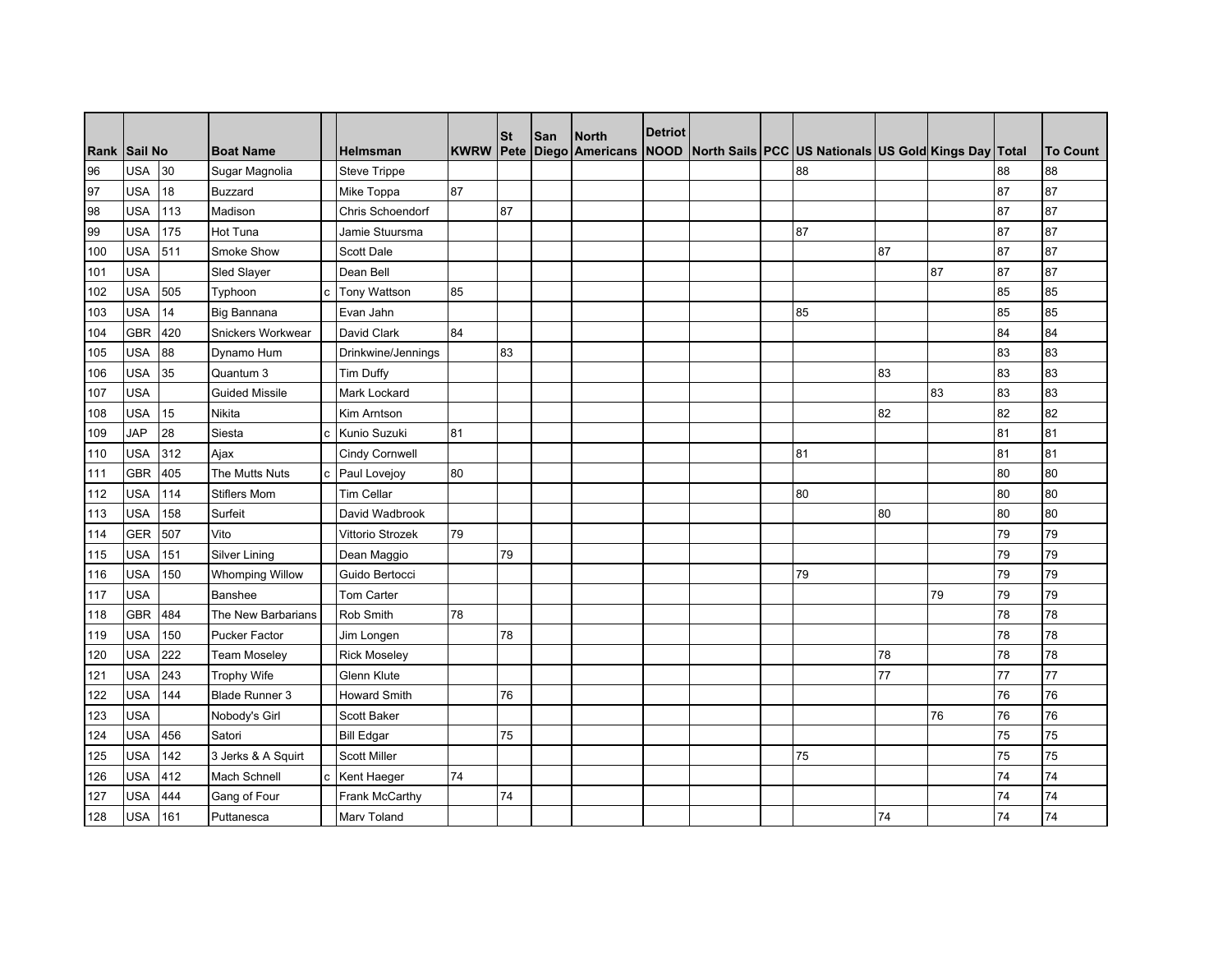|      |            |     |                        |     |                     |             | <b>St</b> | San | North                     | <b>Detriot</b> |  |                                                      |     |    |    |                 |
|------|------------|-----|------------------------|-----|---------------------|-------------|-----------|-----|---------------------------|----------------|--|------------------------------------------------------|-----|----|----|-----------------|
| Rank | Sail No    |     | <b>Boat Name</b>       |     | <b>Helmsman</b>     | <b>KWRW</b> |           |     | Pete Diego Americans NOOD |                |  | North Sails PCC US Nationals US Gold Kings Day Total |     |    |    | <b>To Count</b> |
| 96   | <b>USA</b> | 30  | Sugar Magnolia         |     | Steve Trippe        |             |           |     |                           |                |  | 88                                                   |     |    | 88 | 88              |
| 97   | <b>USA</b> | 18  | Buzzard                |     | Mike Toppa          | 87          |           |     |                           |                |  |                                                      |     |    | 87 | 87              |
| 98   | <b>USA</b> | 113 | Madison                |     | Chris Schoendorf    |             | 87        |     |                           |                |  |                                                      |     |    | 87 | 87              |
| 99   | <b>USA</b> | 175 | Hot Tuna               |     | Jamie Stuursma      |             |           |     |                           |                |  | 87                                                   |     |    | 87 | 87              |
| 100  | <b>USA</b> | 511 | Smoke Show             |     | <b>Scott Dale</b>   |             |           |     |                           |                |  |                                                      | 87  |    | 87 | 87              |
| 101  | <b>USA</b> |     | Sled Slayer            |     | Dean Bell           |             |           |     |                           |                |  |                                                      |     | 87 | 87 | 87              |
| 102  | <b>USA</b> | 505 | Typhoon                |     | Tony Wattson        | 85          |           |     |                           |                |  |                                                      |     |    | 85 | 85              |
| 103  | <b>USA</b> | 14  | Big Bannana            |     | Evan Jahn           |             |           |     |                           |                |  | 85                                                   |     |    | 85 | 85              |
| 104  | GBR        | 420 | Snickers Workwear      |     | David Clark         | 84          |           |     |                           |                |  |                                                      |     |    | 84 | 84              |
| 105  | <b>USA</b> | 88  | Dynamo Hum             |     | Drinkwine/Jennings  |             | 83        |     |                           |                |  |                                                      |     |    | 83 | 83              |
| 106  | <b>USA</b> | 35  | Quantum 3              |     | Tim Duffy           |             |           |     |                           |                |  |                                                      | 83  |    | 83 | 83              |
| 107  | <b>USA</b> |     | <b>Guided Missile</b>  |     | <b>Mark Lockard</b> |             |           |     |                           |                |  |                                                      |     | 83 | 83 | 83              |
| 108  | <b>USA</b> | 15  | <b>Nikita</b>          |     | Kim Arntson         |             |           |     |                           |                |  |                                                      | 82  |    | 82 | 82              |
| 109  | <b>JAP</b> | 28  | Siesta                 | C.  | Kunio Suzuki        | 81          |           |     |                           |                |  |                                                      |     |    | 81 | 81              |
| 110  | <b>USA</b> | 312 | Ajax                   |     | Cindy Cornwell      |             |           |     |                           |                |  | 81                                                   |     |    | 81 | 81              |
| 111  | <b>GBR</b> | 405 | The Mutts Nuts         | c   | Paul Lovejoy        | 80          |           |     |                           |                |  |                                                      |     |    | 80 | 80              |
| 112  | <b>USA</b> | 114 | <b>Stiflers Mom</b>    |     | <b>Tim Cellar</b>   |             |           |     |                           |                |  | 80                                                   |     |    | 80 | 80              |
| 113  | USA        | 158 | Surfeit                |     | David Wadbrook      |             |           |     |                           |                |  |                                                      | 80  |    | 80 | 80              |
| 114  | GER        | 507 | Vito                   |     | Vittorio Strozek    | 79          |           |     |                           |                |  |                                                      |     |    | 79 | 79              |
| 115  | <b>USA</b> | 151 | Silver Lining          |     | Dean Maggio         |             | 79        |     |                           |                |  |                                                      |     |    | 79 | 79              |
| 116  | <b>USA</b> | 150 | <b>Whomping Willow</b> |     | Guido Bertocci      |             |           |     |                           |                |  | 79                                                   |     |    | 79 | 79              |
| 117  | <b>USA</b> |     | Banshee                |     | Tom Carter          |             |           |     |                           |                |  |                                                      |     | 79 | 79 | 79              |
| 118  | <b>GBR</b> | 484 | The New Barbarians     |     | Rob Smith           | 78          |           |     |                           |                |  |                                                      |     |    | 78 | 78              |
| 119  | <b>USA</b> | 150 | Pucker Factor          |     | Jim Longen          |             | 78        |     |                           |                |  |                                                      |     |    | 78 | 78              |
| 120  | <b>USA</b> | 222 | <b>Team Moseley</b>    |     | <b>Rick Moseley</b> |             |           |     |                           |                |  |                                                      | 78  |    | 78 | 78              |
| 121  | <b>USA</b> | 243 | <b>Trophy Wife</b>     |     | Glenn Klute         |             |           |     |                           |                |  |                                                      | 177 |    | 77 | 77              |
| 122  | <b>USA</b> | 144 | Blade Runner 3         |     | <b>Howard Smith</b> |             | 76        |     |                           |                |  |                                                      |     |    | 76 | 76              |
| 123  | <b>USA</b> |     | Nobody's Girl          |     | Scott Baker         |             |           |     |                           |                |  |                                                      |     | 76 | 76 | 76              |
| 124  | <b>USA</b> | 456 | Satori                 |     | <b>Bill Edgar</b>   |             | 75        |     |                           |                |  |                                                      |     |    | 75 | 75              |
| 125  | <b>USA</b> | 142 | 3 Jerks & A Squirt     |     | <b>Scott Miller</b> |             |           |     |                           |                |  | 75                                                   |     |    | 75 | 75              |
| 126  | <b>USA</b> | 412 | Mach Schnell           | lc. | Kent Haeger         | 74          |           |     |                           |                |  |                                                      |     |    | 74 | 74              |
| 127  | USA        | 444 | Gang of Four           |     | Frank McCarthy      |             | 74        |     |                           |                |  |                                                      |     |    | 74 | 74              |
| 128  | <b>USA</b> | 161 | Puttanesca             |     | Mary Toland         |             |           |     |                           |                |  |                                                      | 74  |    | 74 | 74              |